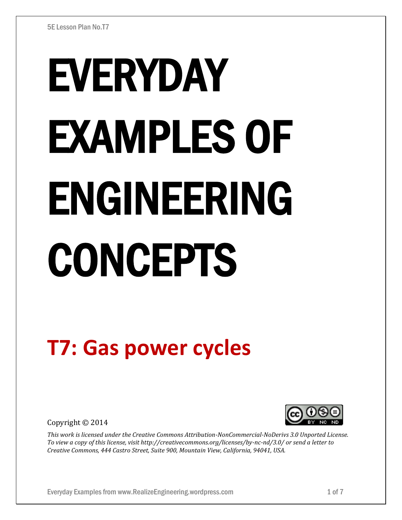# EVERYDAY EXAMPLES OF ENGINEERING CONCEPTS

# **T7: Gas power cycles**

Copyright © 2014



*This work is licensed under the Creative Commons Attribution-NonCommercial-NoDerivs 3.0 Unported License. To view a copy of this license, visit http://creativecommons.org/licenses/by-nc-nd/3.0/ or send a letter to Creative Commons, 444 Castro Street, Suite 900, Mountain View, California, 94041, USA.*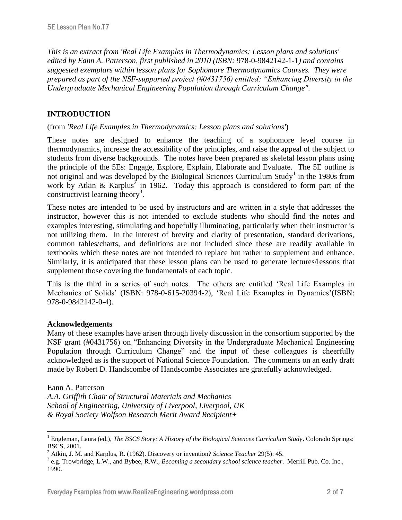*This is an extract from 'Real Life Examples in Thermodynamics: Lesson plans and solutions' edited by Eann A. Patterson, first published in 2010 (ISBN:* 978-0-9842142-1-1*) and contains suggested exemplars within lesson plans for Sophomore Thermodynamics Courses. They were prepared as part of the NSF-supported project (#0431756) entitled: "Enhancing Diversity in the Undergraduate Mechanical Engineering Population through Curriculum Change".* 

# **INTRODUCTION**

## (from *'Real Life Examples in Thermodynamics: Lesson plans and solutions'*)

These notes are designed to enhance the teaching of a sophomore level course in thermodynamics, increase the accessibility of the principles, and raise the appeal of the subject to students from diverse backgrounds. The notes have been prepared as skeletal lesson plans using the principle of the 5Es: Engage, Explore, Explain, Elaborate and Evaluate. The 5E outline is not original and was developed by the Biological Sciences Curriculum Study<sup>1</sup> in the 1980s from work by Atkin & Karplus<sup>2</sup> in 1962. Today this approach is considered to form part of the constructivist learning theory<sup>3</sup>.

These notes are intended to be used by instructors and are written in a style that addresses the instructor, however this is not intended to exclude students who should find the notes and examples interesting, stimulating and hopefully illuminating, particularly when their instructor is not utilizing them. In the interest of brevity and clarity of presentation, standard derivations, common tables/charts, and definitions are not included since these are readily available in textbooks which these notes are not intended to replace but rather to supplement and enhance. Similarly, it is anticipated that these lesson plans can be used to generate lectures/lessons that supplement those covering the fundamentals of each topic.

This is the third in a series of such notes. The others are entitled 'Real Life Examples in Mechanics of Solids' (ISBN: 978-0-615-20394-2), 'Real Life Examples in Dynamics'(ISBN: 978-0-9842142-0-4).

### **Acknowledgements**

Many of these examples have arisen through lively discussion in the consortium supported by the NSF grant (#0431756) on "Enhancing Diversity in the Undergraduate Mechanical Engineering Population through Curriculum Change" and the input of these colleagues is cheerfully acknowledged as is the support of National Science Foundation. The comments on an early draft made by Robert D. Handscombe of Handscombe Associates are gratefully acknowledged.

#### Eann A. Patterson

 $\overline{a}$ 

*A.A. Griffith Chair of Structural Materials and Mechanics School of Engineering, University of Liverpool, Liverpool, UK & Royal Society Wolfson Research Merit Award Recipient+*

<sup>&</sup>lt;sup>1</sup> Engleman, Laura (ed.), *The BSCS Story: A History of the Biological Sciences Curriculum Study*. Colorado Springs: BSCS, 2001.

<sup>2</sup> Atkin, J. M. and Karplus, R. (1962). Discovery or invention? *Science Teacher* 29(5): 45.

<sup>3</sup> e.g. Trowbridge, L.W., and Bybee, R.W., *Becoming a secondary school science teacher*. Merrill Pub. Co. Inc., 1990.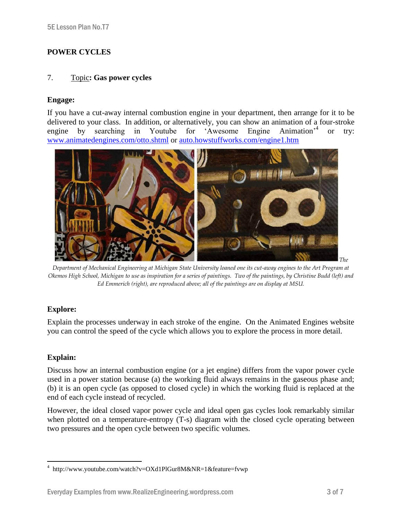# **POWER CYCLES**

#### 7. Topic**: Gas power cycles**

#### **Engage:**

If you have a cut-away internal combustion engine in your department, then arrange for it to be delivered to your class. In addition, or alternatively, you can show an animation of a four-stroke engine by searching in Youtube for 'Awesome Engine Animation'<sup>4</sup> or try: [www.animatedengines.com/otto.shtml](http://www.animatedengines.com/otto.shtml) or [auto.howstuffworks.com/engine1.htm](http://auto.howstuffworks.com/engine1.htm)



*Department of Mechanical Engineering at Michigan State University loaned one its cut-away engines to the Art Program at Okemos High School, Michigan to use as inspiration for a series of paintings. Two of the paintings, by Christine Budd (left) and Ed Emmerich (right), are reproduced above; all of the paintings are on display at MSU.*

### **Explore:**

Explain the processes underway in each stroke of the engine. On the Animated Engines website you can control the speed of the cycle which allows you to explore the process in more detail.

### **Explain:**

 $\overline{a}$ 

Discuss how an internal combustion engine (or a jet engine) differs from the vapor power cycle used in a power station because (a) the working fluid always remains in the gaseous phase and; (b) it is an open cycle (as opposed to closed cycle) in which the working fluid is replaced at the end of each cycle instead of recycled.

However, the ideal closed vapor power cycle and ideal open gas cycles look remarkably similar when plotted on a temperature-entropy  $(T-s)$  diagram with the closed cycle operating between two pressures and the open cycle between two specific volumes.

<sup>4</sup> http://www.youtube.com/watch?v=OXd1PlGur8M&NR=1&feature=fvwp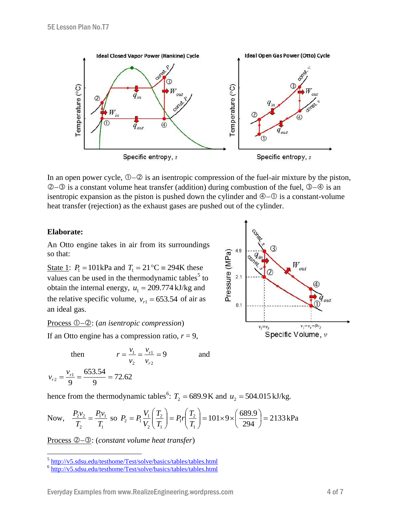

In an open power cycle,  $\mathbb{O}(-2)$  is an isentropic compression of the fuel-air mixture by the piston,  $\circled{2}$  is a constant volume heat transfer (addition) during combustion of the fuel,  $\circled{3}$  – $\circled{9}$  is an isentropic expansion as the piston is pushed down the cylinder and  $\Phi$ - $\Phi$  is a constant-volume heat transfer (rejection) as the exhaust gases are pushed out of the cylinder.

#### **Elaborate:**

*r v*

An Otto engine takes in air from its surroundings so that:

State 1:  $P_1 = 101 \text{ kPa}$  and  $T_1 = 21 \text{ °C} = 294 \text{ K}$  these values can be used in the thermodynamic tables<sup>5</sup> to obtain the internal energy,  $u_1 = 209.774 \text{ kJ/kg}$  and the relative specific volume,  $v_{r1} = 653.54$  of air as an ideal gas.

Process  $\mathbb{O}$ - $\mathbb{O}$ : (an isentropic compression)

If an Otto engine has a compression ratio,  $r = 9$ ,

then 
$$
r = \frac{v_1}{v_2} = \frac{v_{r1}}{v_{r2}} = 9
$$
 and  

$$
r = \frac{v_{r1}}{v_2} = \frac{v_{r2}}{v_{r2}} = 9
$$
 and

hence from the thermodynamic tables<sup>6</sup>:  $T_2 = 689.9$  K and  $u_2 = 504.015$  kJ/kg.

Now, 
$$
\frac{P_2 v_2}{T_2} = \frac{P_1 v_1}{T_1}
$$
 so  $P_2 = P_1 \frac{V_1}{V_2} \left(\frac{T_2}{T_1}\right) = P_1 r \left(\frac{T_2}{T_1}\right) = 101 \times 9 \times \left(\frac{689.9}{294}\right) = 2133 \text{ kPa}$ 

Process  $\mathcal{Q}-\mathcal{Q}$ : (*constant volume heat transfer*)



 5 <http://v5.sdsu.edu/testhome/Test/solve/basics/tables/tables.html>

<sup>&</sup>lt;sup>6</sup> <http://v5.sdsu.edu/testhome/Test/solve/basics/tables/tables.html>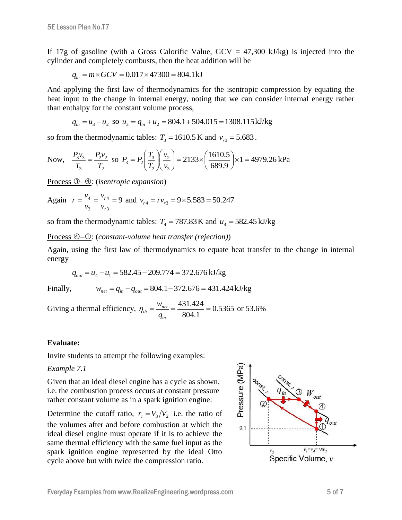If 17g of gasoline (with a Gross Calorific Value,  $GCV = 47,300$  kJ/kg) is injected into the cylinder and completely combusts, then the heat addition will be

$$
q_{in} = m \times GCV = 0.017 \times 47300 = 804.1 \,\text{kJ}
$$

And applying the first law of thermodynamics for the isentropic compression by equating the heat input to the change in internal energy, noting that we can consider internal energy rather than enthalpy for the constant volume process,

$$
q_{in} = u_3 - u_2
$$
 so  $u_3 = q_{in} + u_2 = 804.1 + 504.015 = 1308.115 \text{ kJ/kg}$ 

so from the thermodynamic tables:  $T_3 = 1610.5$  K and  $v_{r3} = 5.683$ .

Now, 
$$
\frac{P_3 v_3}{T_3} = \frac{P_2 v_2}{T_2}
$$
 so  $P_3 = P_2 \left(\frac{T_3}{T_2}\right) \left(\frac{v_2}{v_3}\right) = 2133 \times \left(\frac{1610.5}{689.9}\right) \times 1 = 4979.26 \text{ kPa}$ 

Process 3–4: (*isentropic expansion*)

Again 
$$
r = \frac{v_4}{v_3} = \frac{v_{r4}}{v_{r3}} = 9
$$
 and  $v_{r4} = rv_{r3} = 9 \times 5.583 = 50.247$ 

so from the thermodynamic tables:  $T_4 = 787.83 \text{ K}$  and  $u_4 = 582.45 \text{ kJ/kg}$ 

Process  $\mathcal{Q}-\mathcal{Q}$ : (*constant-volume heat transfer (rejection)*)

Again, using the first law of thermodynamics to equate heat transfer to the change in internal energy

$$
q_{out} = u_4 - u_1 = 582.45 - 209.774 = 372.676 \text{ kJ/kg}
$$

Finally,

$$
w_{net} = q_{in} - q_{out} = 804.1 - 372.676 = 431.424 \,\mathrm{kJ/kg}
$$

Giving a thermal efficiency,  $\eta_{th} = \frac{W_{net}}{S} = \frac{+51.424}{S} = 0.5365$ 804.1  $=\frac{W_{net}}{W_{net}} = \frac{431.424}{80.444}$ *in*  $a_{th} = \frac{w_{net}}{q_{in}}$  $\eta_{th} = \frac{W_{net}}{W_{tot}} = \frac{431.424}{80.644} = 0.5365$  or 53.6%

### **Evaluate:**

Invite students to attempt the following examples:

#### *Example 7.1*

Given that an ideal diesel engine has a cycle as shown, i.e. the combustion process occurs at constant pressure rather constant volume as in a spark ignition engine:

Determine the cutoff ratio,  $r_c = V_3/V_2$  i.e. the ratio of the volumes after and before combustion at which the ideal diesel engine must operate if it is to achieve the same thermal efficiency with the same fuel input as the spark ignition engine represented by the ideal Otto cycle above but with twice the compression ratio.

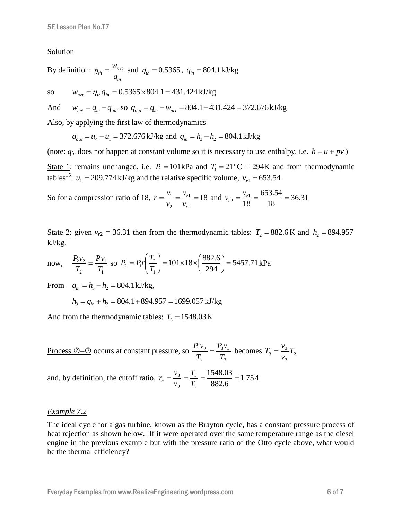#### Solution

By definition: 
$$
\eta_{th} = \frac{W_{net}}{q_{in}}
$$
 and  $\eta_{th} = 0.5365$ ,  $q_{in} = 804.1 \text{ kJ/kg}$ 

so 
$$
w_{net} = \eta_{th} q_{in} = 0.5365 \times 804.1 = 431.424 \text{ kJ/kg}
$$

And  $w_{net} = q_{in} - q_{out}$  so  $q_{out} = q_{in} - w_{net} = 804.1 - 431.424 = 372.676 \text{ kJ/kg}$ 

Also, by applying the first law of thermodynamics

$$
q_{out} = u_4 - u_1 = 372.676 \text{ kJ/kg}
$$
 and  $q_{in} = h_3 - h_2 = 804.1 \text{ kJ/kg}$ 

(note:  $q_{in}$  does not happen at constant volume so it is necessary to use enthalpy, i.e.  $h = u + pv$ )

State 1: remains unchanged, i.e.  $P_1 = 101 \text{ kPa}$  and  $T_1 = 21 \text{ °C} = 294 \text{ K}$  and from thermodynamic tables<sup>15</sup>:  $u_1 = 209.774 \text{ kJ/kg}$  and the relative specific volume,  $v_{r1} = 653.54$ 

So for a compression ratio of 18,  $r = \frac{v_{1}}{1} = \frac{v_{r1}}{1} = 18$ 2 1 2  $=\frac{v_1}{\cdot}=\frac{v_{r1}}{\cdot}$ *r r v v v*  $r = \frac{v_1}{v_1} = \frac{v_{r1}}{v_{r2}} = 18$  and  $v_{r2} = \frac{v_{r1}}{v_{r3}} = \frac{653.54}{10.8} = 36.31$ 18 653.54 18  $r_1 = \frac{v_{r1}}{10} = \frac{0.00334}{10} =$  $v_{r2} = \frac{v}{r}$ 

State 2: given  $v_{r2} = 36.31$  then from the thermodynamic tables:  $T_2 = 882.6$  K and  $h_2 = 894.957$ kJ/kg.

now, 
$$
\frac{P_2 v_2}{T_2} = \frac{P_1 v_1}{T_1}
$$
 so  $P_2 = P_1 r \left(\frac{T_2}{T_1}\right) = 101 \times 18 \times \left(\frac{882.6}{294}\right) = 5457.71 \text{ kPa}$ 

From  $q_{in} = h_3 - h_2 = 804.1 \text{ kJ/kg}$ ,

 $h_3 = q_{in} + h_2 = 804.1 + 894.957 = 1699.057 \text{ kJ/kg}$ 

And from the thermodynamic tables:  $T_3 = 1548.03 \text{ K}$ 

Process ②–③ occurs at constant pressure, so 
$$
\frac{P_2v_2}{T_2} = \frac{P_3v_3}{T_3}
$$
 becomes  $T_3 = \frac{v_3}{v_2}T_2$ 

and, by definition, the cutoff ratio,  $r_c = \frac{r_3}{r_1} = \frac{1.75 \times 0.05}{0.025 \times 0.05} = 1.75$ 882.6 1548.03 2 3 2  $=\frac{v_3}{v_3}=\frac{v_3}{v_3}=\frac{1040.05}{0.000}=\frac{100}{0.000}=\frac{100}{0.000}=\frac{100}{0.000}=\frac{100}{0.000}=\frac{100}{0.000}=\frac{100}{0.000}=\frac{100}{0.000}=\frac{100}{0.000}=\frac{100}{0.000}=\frac{100}{0.000}=\frac{100}{0.000}=\frac{100}{0.000}=\frac{100}{0.000}=\frac{100}{0.000$ *T T v*  $r_c = \frac{v_3}{T} = \frac{T_3}{T} = \frac{1548.03}{882.6} = 1.754$ 

#### *Example 7.2*

The ideal cycle for a gas turbine, known as the Brayton cycle, has a constant pressure process of heat rejection as shown below. If it were operated over the same temperature range as the diesel engine in the previous example but with the pressure ratio of the Otto cycle above, what would be the thermal efficiency?